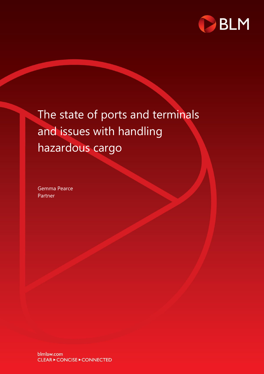

## The state of ports and terminals and issues with handling hazardous cargo

Gemma Pearce Partner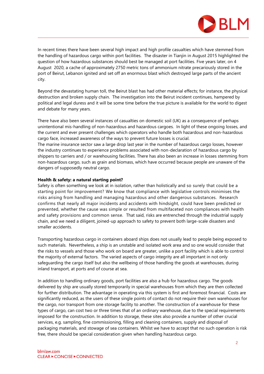

In recent times there have been several high impact and high profile casualties which have stemmed from the handling of hazardous cargo within port facilities. The disaster in Tianjin in August 2015 highlighted the question of how hazardous substances should best be managed at port facilities. Five years later, on 4 August 2020, a cache of approximately 2750 metric tons of ammonium nitrate precariously stored in the port of Beirut, Lebanon ignited and set off an enormous blast which destroyed large parts of the ancient city.

Beyond the devastating human toll, the Beirut blast has had other material effects; for instance, the physical destruction and broken supply chain. The investigation into the Beirut incident continues, hampered by political and legal duress and it will be some time before the true picture is available for the world to digest and debate for many years.

There have also been several instances of casualties on domestic soil (UK) as a consequence of perhaps unintentional mis-handling of non-hazardous and hazardous cargoes. In light of these ongoing losses, and the current and ever present challenges which operators who handle both hazardous and non-hazardous cargo face, increased awareness of the ways to prevent future losses is crucial.

The marine insurance sector saw a large drop last year in the number of hazardous cargo losses, however the industry continues to experience problems associated with non-declaration of hazardous cargo by shippers to carriers and / or warehousing facilities. There has also been an increase in losses stemming from non-hazardous cargo, such as grain and biomass, which have occurred because people are unaware of the dangers of supposedly neutral cargo.

## **Health & safety: a natural starting point?**

Safety is often something we look at in isolation, rather than holistically and so surely that could be a starting point for improvement? We know that compliance with legislative controls minimises the risks arising from handling and managing hazardous and other dangerous substances. Research confirms that nearly all major incidents and accidents with hindsight, could have been predicted or prevented, whether the cause was simple or resulted from multifaceted non compliances with health and safety provisions and common sense. That said, risks are entrenched through the industrial supply chain, and we need a diligent, joined-up approach to safety to prevent both large-scale disasters and smaller accidents.

Transporting hazardous cargo in containers aboard ships does not usually lead to people being exposed to such materials. Nevertheless, a ship is an unstable and isolated work area and so one would consider that the risks to vessels and those who work on board are greater, unlike a port facility which is able to control the majority of external factors. The varied aspects of cargo integrity are all important in not only safeguarding the cargo itself but also the wellbeing of those handling the goods at warehouses, during inland transport, at ports and of course at sea.

In addition to handling ordinary goods, port facilities are also a hub for hazardous cargo. The goods delivered by ship are usually stored temporarily in special warehouses from which they are then collected for further distribution. The advantage in operating via this system is first and foremost financial. Costs are significantly reduced, as the users of these single points of contact do not require their own warehouses for the cargo, nor transport from one storage facility to another. The construction of a warehouse for these types of cargo, can cost two or three times that of an ordinary warehouse, due to the special requirements imposed for the construction. In addition to storage, these sites also provide a number of other crucial services, e.g. sampling, fine commissioning, filling and cleaning containers, supply and disposal of packaging materials, and stowage of sea containers. Whilst we have to accept that no such operation is risk free, there should be special consideration given when handling hazardous cargo.